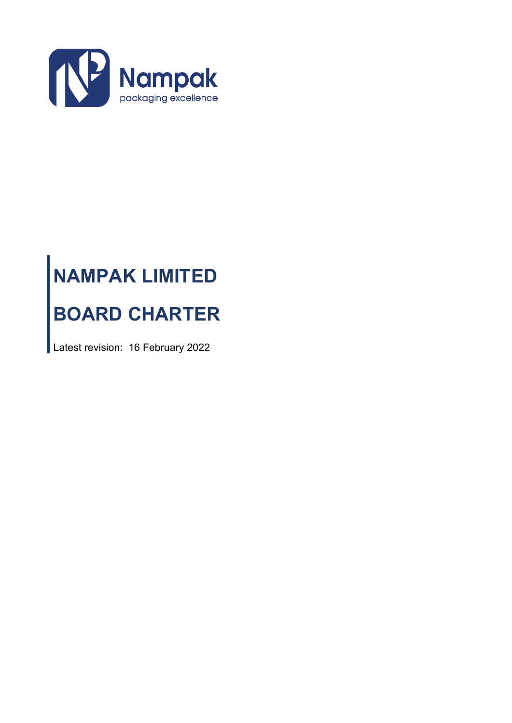

# **NAMPAK LIMITED BOARD CHARTER**

Latest revision: 16 February 2022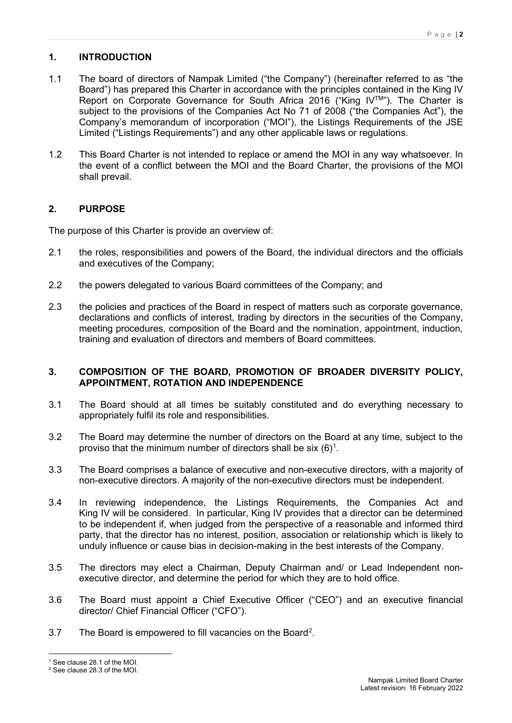# **1. INTRODUCTION**

- 1.1 The board of directors of Nampak Limited ("the Company") (hereinafter referred to as "the Board") has prepared this Charter in accordance with the principles contained in the King IV Report on Corporate Governance for South Africa 2016 ("King IV™"). The Charter is subject to the provisions of the Companies Act No 71 of 2008 ("the Companies Act"), the Company's memorandum of incorporation ("MOI"), the Listings Requirements of the JSE Limited ("Listings Requirements") and any other applicable laws or regulations.
- 1.2 This Board Charter is not intended to replace or amend the MOI in any way whatsoever. In the event of a conflict between the MOI and the Board Charter, the provisions of the MOI shall prevail.

# **2. PURPOSE**

The purpose of this Charter is provide an overview of:

- 2.1 the roles, responsibilities and powers of the Board, the individual directors and the officials and executives of the Company;
- 2.2 the powers delegated to various Board committees of the Company; and
- 2.3 the policies and practices of the Board in respect of matters such as corporate governance, declarations and conflicts of interest, trading by directors in the securities of the Company, meeting procedures, composition of the Board and the nomination, appointment, induction, training and evaluation of directors and members of Board committees.

# **3. COMPOSITION OF THE BOARD, PROMOTION OF BROADER DIVERSITY POLICY, APPOINTMENT, ROTATION AND INDEPENDENCE**

- 3.1 The Board should at all times be suitably constituted and do everything necessary to appropriately fulfil its role and responsibilities.
- 3.2 The Board may determine the number of directors on the Board at any time, subject to the proviso that the minimum number of directors shall be six  $(6)^1$  $(6)^1$ .
- 3.3 The Board comprises a balance of executive and non-executive directors, with a majority of non-executive directors. A majority of the non-executive directors must be independent.
- 3.4 In reviewing independence, the Listings Requirements, the Companies Act and King IV will be considered. In particular, King IV provides that a director can be determined to be independent if, when judged from the perspective of a reasonable and informed third party, that the director has no interest, position, association or relationship which is likely to unduly influence or cause bias in decision-making in the best interests of the Company.
- 3.5 The directors may elect a Chairman, Deputy Chairman and/ or Lead Independent nonexecutive director, and determine the period for which they are to hold office.
- 3.6 The Board must appoint a Chief Executive Officer ("CEO") and an executive financial director/ Chief Financial Officer ("CFO").
- 3.7 The Board is empowered to fill vacancies on the Board<sup>[2](#page-1-1)</sup>.

<span id="page-1-0"></span><sup>1</sup> See clause 28.1 of the MOI.

<span id="page-1-1"></span><sup>2</sup> See clause 28.3 of the MOI.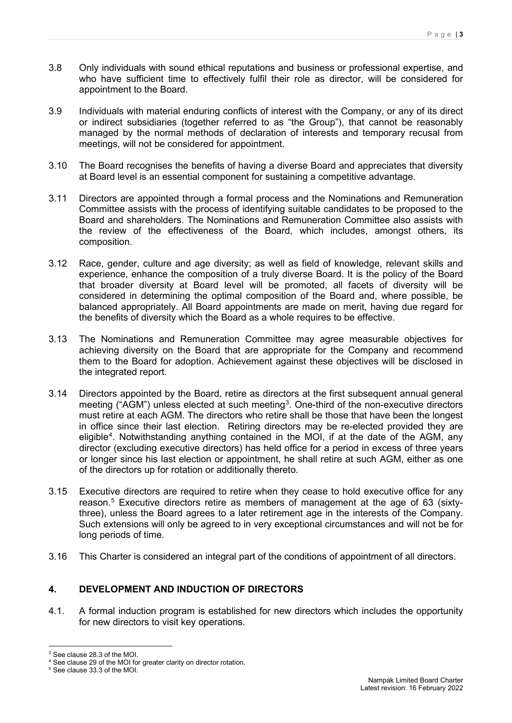- 3.8 Only individuals with sound ethical reputations and business or professional expertise, and who have sufficient time to effectively fulfil their role as director, will be considered for appointment to the Board.
- 3.9 Individuals with material enduring conflicts of interest with the Company, or any of its direct or indirect subsidiaries (together referred to as "the Group"), that cannot be reasonably managed by the normal methods of declaration of interests and temporary recusal from meetings, will not be considered for appointment.
- 3.10 The Board recognises the benefits of having a diverse Board and appreciates that diversity at Board level is an essential component for sustaining a competitive advantage.
- 3.11 Directors are appointed through a formal process and the Nominations and Remuneration Committee assists with the process of identifying suitable candidates to be proposed to the Board and shareholders. The Nominations and Remuneration Committee also assists with the review of the effectiveness of the Board, which includes, amongst others, its composition.
- 3.12 Race, gender, culture and age diversity; as well as field of knowledge, relevant skills and experience, enhance the composition of a truly diverse Board. It is the policy of the Board that broader diversity at Board level will be promoted, all facets of diversity will be considered in determining the optimal composition of the Board and, where possible, be balanced appropriately. All Board appointments are made on merit, having due regard for the benefits of diversity which the Board as a whole requires to be effective.
- 3.13 The Nominations and Remuneration Committee may agree measurable objectives for achieving diversity on the Board that are appropriate for the Company and recommend them to the Board for adoption. Achievement against these objectives will be disclosed in the integrated report.
- 3.14 Directors appointed by the Board, retire as directors at the first subsequent annual general meeting ("AGM") unless elected at such meeting<sup>[3](#page-2-0)</sup>. One-third of the non-executive directors must retire at each AGM. The directors who retire shall be those that have been the longest in office since their last election. Retiring directors may be re-elected provided they are eligible<sup>[4](#page-2-1)</sup>. Notwithstanding anything contained in the MOI, if at the date of the AGM, any director (excluding executive directors) has held office for a period in excess of three years or longer since his last election or appointment, he shall retire at such AGM, either as one of the directors up for rotation or additionally thereto.
- 3.15 Executive directors are required to retire when they cease to hold executive office for any reason.<sup>[5](#page-2-2)</sup> Executive directors retire as members of management at the age of 63 (sixtythree), unless the Board agrees to a later retirement age in the interests of the Company. Such extensions will only be agreed to in very exceptional circumstances and will not be for long periods of time.
- 3.16 This Charter is considered an integral part of the conditions of appointment of all directors.

# **4. DEVELOPMENT AND INDUCTION OF DIRECTORS**

4.1. A formal induction program is established for new directors which includes the opportunity for new directors to visit key operations.

<span id="page-2-0"></span><sup>3</sup> See clause 28.3 of the MOI.

<span id="page-2-1"></span><sup>4</sup> See clause 29 of the MOI for greater clarity on director rotation.

<span id="page-2-2"></span><sup>5</sup> See clause 33.3 of the MOI.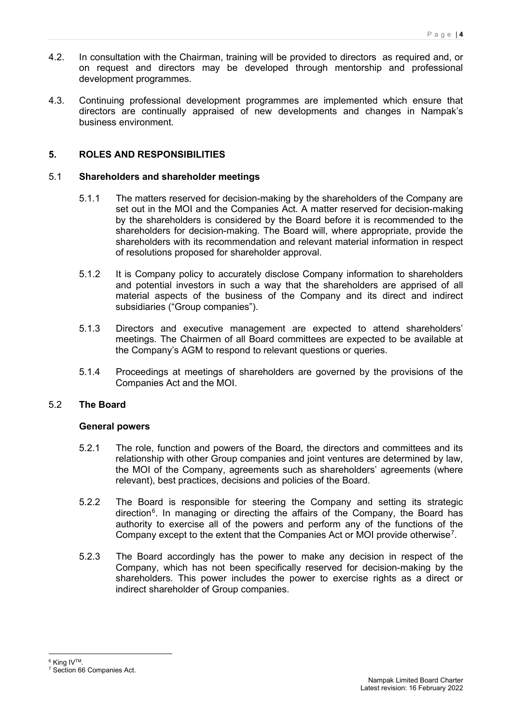- 4.2. In consultation with the Chairman, training will be provided to directors as required and, or on request and directors may be developed through mentorship and professional development programmes.
- 4.3. Continuing professional development programmes are implemented which ensure that directors are continually appraised of new developments and changes in Nampak's business environment.

# **5. ROLES AND RESPONSIBILITIES**

# 5.1 **Shareholders and shareholder meetings**

- 5.1.1 The matters reserved for decision-making by the shareholders of the Company are set out in the MOI and the Companies Act. A matter reserved for decision-making by the shareholders is considered by the Board before it is recommended to the shareholders for decision-making. The Board will, where appropriate, provide the shareholders with its recommendation and relevant material information in respect of resolutions proposed for shareholder approval.
- 5.1.2 It is Company policy to accurately disclose Company information to shareholders and potential investors in such a way that the shareholders are apprised of all material aspects of the business of the Company and its direct and indirect subsidiaries ("Group companies").
- 5.1.3 Directors and executive management are expected to attend shareholders' meetings. The Chairmen of all Board committees are expected to be available at the Company's AGM to respond to relevant questions or queries.
- 5.1.4 Proceedings at meetings of shareholders are governed by the provisions of the Companies Act and the MOI.

# 5.2 **The Board**

## **General powers**

- 5.2.1 The role, function and powers of the Board, the directors and committees and its relationship with other Group companies and joint ventures are determined by law, the MOI of the Company, agreements such as shareholders' agreements (where relevant), best practices, decisions and policies of the Board.
- 5.2.2 The Board is responsible for steering the Company and setting its strategic direction<sup>[6](#page-3-0)</sup>. In managing or directing the affairs of the Company, the Board has authority to exercise all of the powers and perform any of the functions of the Company except to the extent that the Companies Act or MOI provide otherwise<sup>[7](#page-3-1)</sup>.
- 5.2.3 The Board accordingly has the power to make any decision in respect of the Company, which has not been specifically reserved for decision-making by the shareholders. This power includes the power to exercise rights as a direct or indirect shareholder of Group companies.

<span id="page-3-0"></span><sup>&</sup>lt;sup>6</sup> King IV<sup>™</sup>

<span id="page-3-1"></span><sup>7</sup> Section 66 Companies Act.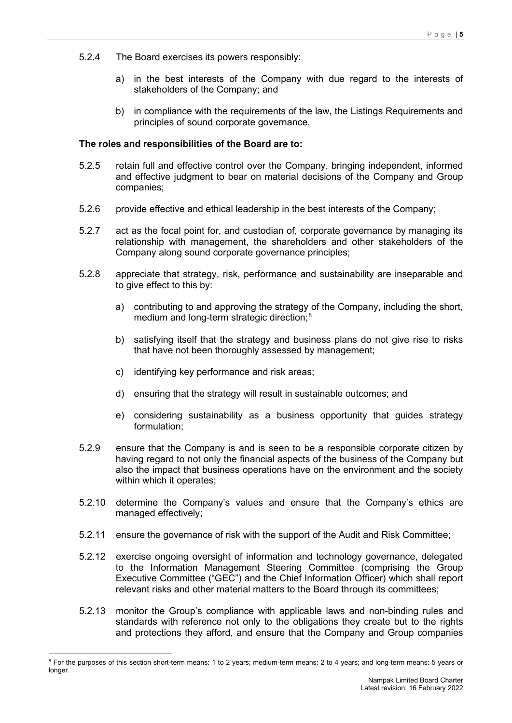- 5.2.4 The Board exercises its powers responsibly:
	- a) in the best interests of the Company with due regard to the interests of stakeholders of the Company; and
	- b) in compliance with the requirements of the law, the Listings Requirements and principles of sound corporate governance.

## **The roles and responsibilities of the Board are to:**

- 5.2.5 retain full and effective control over the Company, bringing independent, informed and effective judgment to bear on material decisions of the Company and Group companies;
- 5.2.6 provide effective and ethical leadership in the best interests of the Company;
- 5.2.7 act as the focal point for, and custodian of, corporate governance by managing its relationship with management, the shareholders and other stakeholders of the Company along sound corporate governance principles;
- 5.2.8 appreciate that strategy, risk, performance and sustainability are inseparable and to give effect to this by:
	- a) contributing to and approving the strategy of the Company, including the short, medium and long-term strategic direction; [8](#page-4-0)
	- b) satisfying itself that the strategy and business plans do not give rise to risks that have not been thoroughly assessed by management;
	- c) identifying key performance and risk areas;
	- d) ensuring that the strategy will result in sustainable outcomes; and
	- e) considering sustainability as a business opportunity that guides strategy formulation;
- 5.2.9 ensure that the Company is and is seen to be a responsible corporate citizen by having regard to not only the financial aspects of the business of the Company but also the impact that business operations have on the environment and the society within which it operates;
- 5.2.10 determine the Company's values and ensure that the Company's ethics are managed effectively;
- 5.2.11 ensure the governance of risk with the support of the Audit and Risk Committee;
- 5.2.12 exercise ongoing oversight of information and technology governance, delegated to the Information Management Steering Committee (comprising the Group Executive Committee ("GEC") and the Chief Information Officer) which shall report relevant risks and other material matters to the Board through its committees;
- 5.2.13 monitor the Group's compliance with applicable laws and non-binding rules and standards with reference not only to the obligations they create but to the rights and protections they afford, and ensure that the Company and Group companies

<span id="page-4-0"></span><sup>&</sup>lt;sup>8</sup> For the purposes of this section short-term means: 1 to 2 years; medium-term means: 2 to 4 years; and long-term means: 5 years or longer.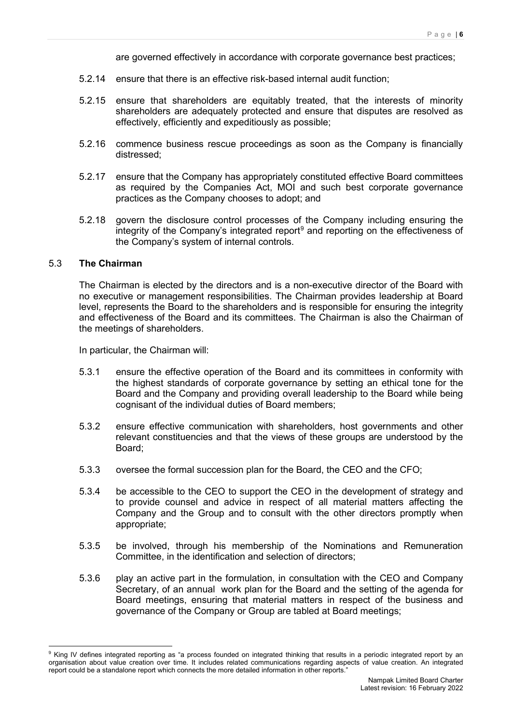are governed effectively in accordance with corporate governance best practices;

- 5.2.14 ensure that there is an effective risk-based internal audit function;
- 5.2.15 ensure that shareholders are equitably treated, that the interests of minority shareholders are adequately protected and ensure that disputes are resolved as effectively, efficiently and expeditiously as possible;
- 5.2.16 commence business rescue proceedings as soon as the Company is financially distressed;
- 5.2.17 ensure that the Company has appropriately constituted effective Board committees as required by the Companies Act, MOI and such best corporate governance practices as the Company chooses to adopt; and
- 5.2.18 govern the disclosure control processes of the Company including ensuring the integrity of the Company's integrated report<sup>[9](#page-5-0)</sup> and reporting on the effectiveness of the Company's system of internal controls.

#### 5.3 **The Chairman**

The Chairman is elected by the directors and is a non-executive director of the Board with no executive or management responsibilities. The Chairman provides leadership at Board level, represents the Board to the shareholders and is responsible for ensuring the integrity and effectiveness of the Board and its committees. The Chairman is also the Chairman of the meetings of shareholders.

In particular, the Chairman will:

- 5.3.1 ensure the effective operation of the Board and its committees in conformity with the highest standards of corporate governance by setting an ethical tone for the Board and the Company and providing overall leadership to the Board while being cognisant of the individual duties of Board members;
- 5.3.2 ensure effective communication with shareholders, host governments and other relevant constituencies and that the views of these groups are understood by the Board;
- 5.3.3 oversee the formal succession plan for the Board, the CEO and the CFO;
- 5.3.4 be accessible to the CEO to support the CEO in the development of strategy and to provide counsel and advice in respect of all material matters affecting the Company and the Group and to consult with the other directors promptly when appropriate;
- 5.3.5 be involved, through his membership of the Nominations and Remuneration Committee, in the identification and selection of directors;
- 5.3.6 play an active part in the formulation, in consultation with the CEO and Company Secretary, of an annual work plan for the Board and the setting of the agenda for Board meetings, ensuring that material matters in respect of the business and governance of the Company or Group are tabled at Board meetings;

<span id="page-5-0"></span><sup>&</sup>lt;sup>9</sup> King IV defines integrated reporting as "a process founded on integrated thinking that results in a periodic integrated report by an organisation about value creation over time. It includes related communications regarding aspects of value creation. An integrated report could be a standalone report which connects the more detailed information in other reports.'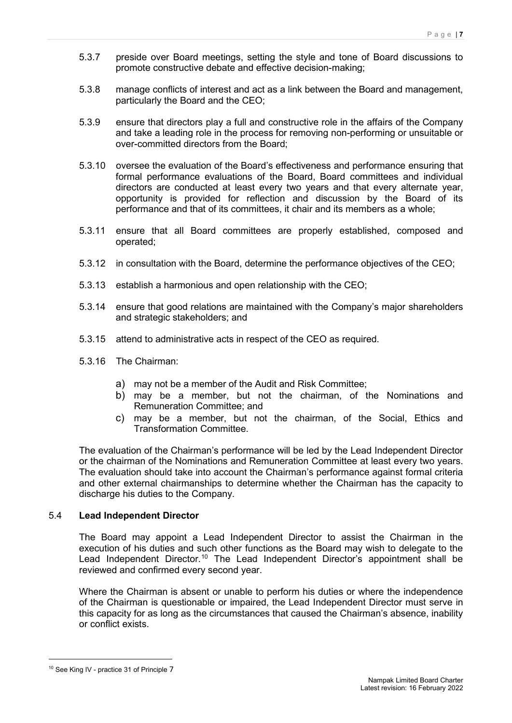- 5.3.7 preside over Board meetings, setting the style and tone of Board discussions to promote constructive debate and effective decision-making;
- 5.3.8 manage conflicts of interest and act as a link between the Board and management, particularly the Board and the CEO;
- 5.3.9 ensure that directors play a full and constructive role in the affairs of the Company and take a leading role in the process for removing non-performing or unsuitable or over-committed directors from the Board;
- 5.3.10 oversee the evaluation of the Board's effectiveness and performance ensuring that formal performance evaluations of the Board, Board committees and individual directors are conducted at least every two years and that every alternate year, opportunity is provided for reflection and discussion by the Board of its performance and that of its committees, it chair and its members as a whole;
- 5.3.11 ensure that all Board committees are properly established, composed and operated;
- 5.3.12 in consultation with the Board, determine the performance objectives of the CEO;
- 5.3.13 establish a harmonious and open relationship with the CEO;
- 5.3.14 ensure that good relations are maintained with the Company's major shareholders and strategic stakeholders; and
- 5.3.15 attend to administrative acts in respect of the CEO as required.
- 5.3.16 The Chairman:
	- a) may not be a member of the Audit and Risk Committee;
	- b) may be a member, but not the chairman, of the Nominations and Remuneration Committee; and
	- c) may be a member, but not the chairman, of the Social, Ethics and Transformation Committee.

The evaluation of the Chairman's performance will be led by the Lead Independent Director or the chairman of the Nominations and Remuneration Committee at least every two years. The evaluation should take into account the Chairman's performance against formal criteria and other external chairmanships to determine whether the Chairman has the capacity to discharge his duties to the Company.

## 5.4 **Lead Independent Director**

The Board may appoint a Lead Independent Director to assist the Chairman in the execution of his duties and such other functions as the Board may wish to delegate to the Lead Independent Director.<sup>[10](#page-6-0)</sup> The Lead Independent Director's appointment shall be reviewed and confirmed every second year.

Where the Chairman is absent or unable to perform his duties or where the independence of the Chairman is questionable or impaired, the Lead Independent Director must serve in this capacity for as long as the circumstances that caused the Chairman's absence, inability or conflict exists.

<span id="page-6-0"></span><sup>&</sup>lt;sup>10</sup> See King IV - practice 31 of Principle 7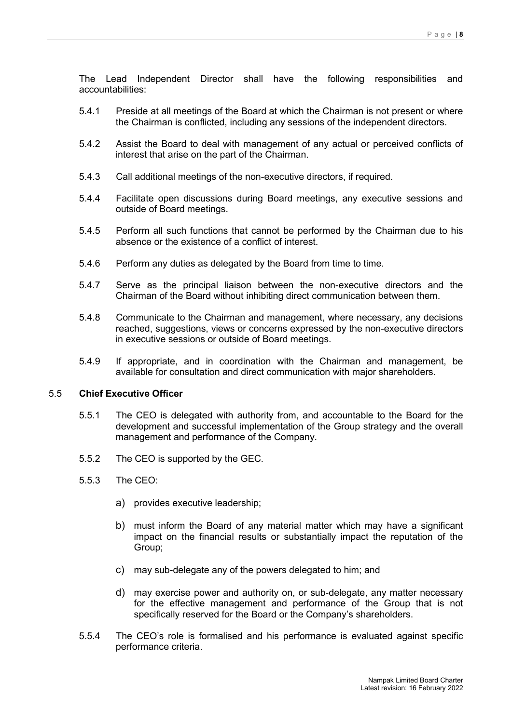The Lead Independent Director shall have the following responsibilities and accountabilities:

- 5.4.1 Preside at all meetings of the Board at which the Chairman is not present or where the Chairman is conflicted, including any sessions of the independent directors.
- 5.4.2 Assist the Board to deal with management of any actual or perceived conflicts of interest that arise on the part of the Chairman.
- 5.4.3 Call additional meetings of the non-executive directors, if required.
- 5.4.4 Facilitate open discussions during Board meetings, any executive sessions and outside of Board meetings.
- 5.4.5 Perform all such functions that cannot be performed by the Chairman due to his absence or the existence of a conflict of interest.
- 5.4.6 Perform any duties as delegated by the Board from time to time.
- 5.4.7 Serve as the principal liaison between the non-executive directors and the Chairman of the Board without inhibiting direct communication between them.
- 5.4.8 Communicate to the Chairman and management, where necessary, any decisions reached, suggestions, views or concerns expressed by the non-executive directors in executive sessions or outside of Board meetings.
- 5.4.9 If appropriate, and in coordination with the Chairman and management, be available for consultation and direct communication with major shareholders.

## 5.5 **Chief Executive Officer**

- 5.5.1 The CEO is delegated with authority from, and accountable to the Board for the development and successful implementation of the Group strategy and the overall management and performance of the Company.
- 5.5.2 The CEO is supported by the GEC.
- 5.5.3 The CEO:
	- a) provides executive leadership;
	- b) must inform the Board of any material matter which may have a significant impact on the financial results or substantially impact the reputation of the Group;
	- c) may sub-delegate any of the powers delegated to him; and
	- d) may exercise power and authority on, or sub-delegate, any matter necessary for the effective management and performance of the Group that is not specifically reserved for the Board or the Company's shareholders.
- 5.5.4 The CEO's role is formalised and his performance is evaluated against specific performance criteria.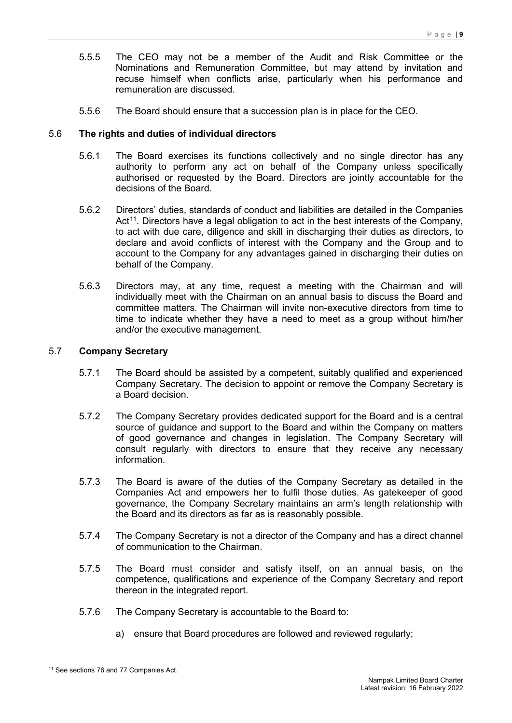- 5.5.5 The CEO may not be a member of the Audit and Risk Committee or the Nominations and Remuneration Committee, but may attend by invitation and recuse himself when conflicts arise, particularly when his performance and remuneration are discussed.
- 5.5.6 The Board should ensure that a succession plan is in place for the CEO.

## 5.6 **The rights and duties of individual directors**

- 5.6.1 The Board exercises its functions collectively and no single director has any authority to perform any act on behalf of the Company unless specifically authorised or requested by the Board. Directors are jointly accountable for the decisions of the Board.
- 5.6.2 Directors' duties, standards of conduct and liabilities are detailed in the Companies Act<sup>11</sup>. Directors have a legal obligation to act in the best interests of the Company, to act with due care, diligence and skill in discharging their duties as directors, to declare and avoid conflicts of interest with the Company and the Group and to account to the Company for any advantages gained in discharging their duties on behalf of the Company.
- 5.6.3 Directors may, at any time, request a meeting with the Chairman and will individually meet with the Chairman on an annual basis to discuss the Board and committee matters. The Chairman will invite non-executive directors from time to time to indicate whether they have a need to meet as a group without him/her and/or the executive management.

## 5.7 **Company Secretary**

- 5.7.1 The Board should be assisted by a competent, suitably qualified and experienced Company Secretary. The decision to appoint or remove the Company Secretary is a Board decision.
- 5.7.2 The Company Secretary provides dedicated support for the Board and is a central source of guidance and support to the Board and within the Company on matters of good governance and changes in legislation. The Company Secretary will consult regularly with directors to ensure that they receive any necessary information.
- 5.7.3 The Board is aware of the duties of the Company Secretary as detailed in the Companies Act and empowers her to fulfil those duties. As gatekeeper of good governance, the Company Secretary maintains an arm's length relationship with the Board and its directors as far as is reasonably possible.
- 5.7.4 The Company Secretary is not a director of the Company and has a direct channel of communication to the Chairman.
- 5.7.5 The Board must consider and satisfy itself, on an annual basis, on the competence, qualifications and experience of the Company Secretary and report thereon in the integrated report.
- 5.7.6 The Company Secretary is accountable to the Board to:
	- a) ensure that Board procedures are followed and reviewed regularly;

<span id="page-8-0"></span><sup>&</sup>lt;sup>11</sup> See sections 76 and 77 Companies Act.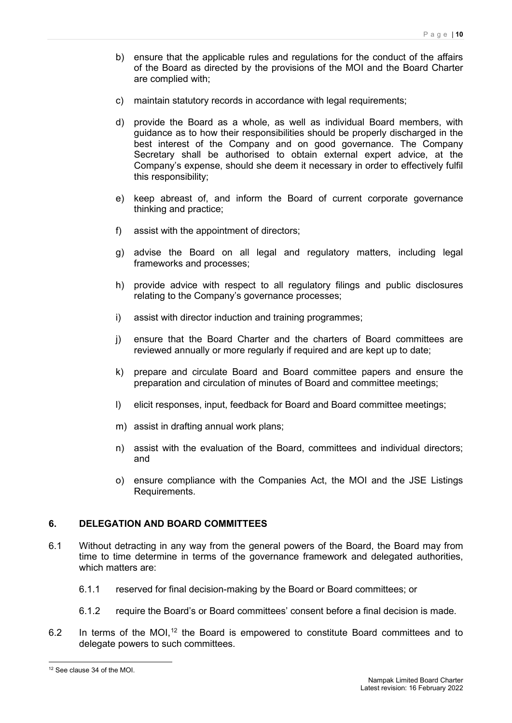- b) ensure that the applicable rules and regulations for the conduct of the affairs of the Board as directed by the provisions of the MOI and the Board Charter are complied with;
- c) maintain statutory records in accordance with legal requirements;
- d) provide the Board as a whole, as well as individual Board members, with guidance as to how their responsibilities should be properly discharged in the best interest of the Company and on good governance. The Company Secretary shall be authorised to obtain external expert advice, at the Company's expense, should she deem it necessary in order to effectively fulfil this responsibility;
- e) keep abreast of, and inform the Board of current corporate governance thinking and practice;
- f) assist with the appointment of directors;
- g) advise the Board on all legal and regulatory matters, including legal frameworks and processes;
- h) provide advice with respect to all regulatory filings and public disclosures relating to the Company's governance processes;
- i) assist with director induction and training programmes;
- j) ensure that the Board Charter and the charters of Board committees are reviewed annually or more regularly if required and are kept up to date;
- k) prepare and circulate Board and Board committee papers and ensure the preparation and circulation of minutes of Board and committee meetings;
- l) elicit responses, input, feedback for Board and Board committee meetings;
- m) assist in drafting annual work plans;
- n) assist with the evaluation of the Board, committees and individual directors; and
- o) ensure compliance with the Companies Act, the MOI and the JSE Listings Requirements.

## **6. DELEGATION AND BOARD COMMITTEES**

- 6.1 Without detracting in any way from the general powers of the Board, the Board may from time to time determine in terms of the governance framework and delegated authorities, which matters are:
	- 6.1.1 reserved for final decision-making by the Board or Board committees; or
	- 6.1.2 require the Board's or Board committees' consent before a final decision is made.
- 6.2 In terms of the MOI,<sup>[12](#page-9-0)</sup> the Board is empowered to constitute Board committees and to delegate powers to such committees.

<span id="page-9-0"></span><sup>12</sup> See clause 34 of the MOI.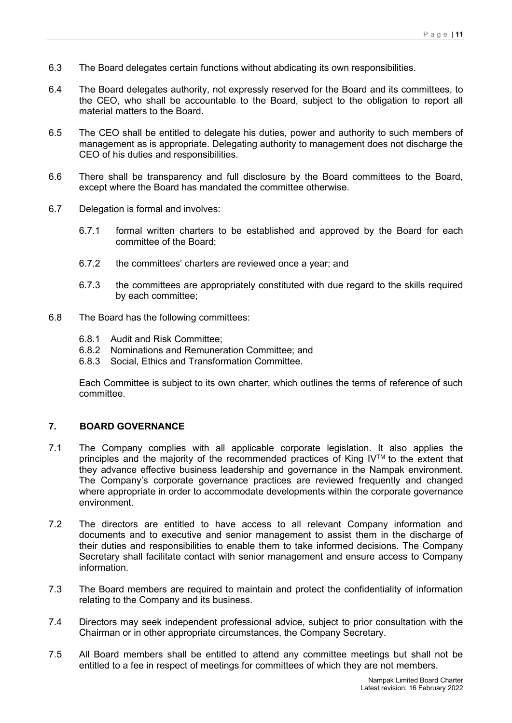- 6.3 The Board delegates certain functions without abdicating its own responsibilities.
- 6.4 The Board delegates authority, not expressly reserved for the Board and its committees, to the CEO, who shall be accountable to the Board, subject to the obligation to report all material matters to the Board.
- 6.5 The CEO shall be entitled to delegate his duties, power and authority to such members of management as is appropriate. Delegating authority to management does not discharge the CEO of his duties and responsibilities.
- 6.6 There shall be transparency and full disclosure by the Board committees to the Board, except where the Board has mandated the committee otherwise.
- 6.7 Delegation is formal and involves:
	- 6.7.1 formal written charters to be established and approved by the Board for each committee of the Board;
	- 6.7.2 the committees' charters are reviewed once a year; and
	- 6.7.3 the committees are appropriately constituted with due regard to the skills required by each committee;
- 6.8 The Board has the following committees:
	- 6.8.1 Audit and Risk Committee;
	- 6.8.2 Nominations and Remuneration Committee; and
	- 6.8.3 Social, Ethics and Transformation Committee.

Each Committee is subject to its own charter, which outlines the terms of reference of such committee.

# **7. BOARD GOVERNANCE**

- 7.1 The Company complies with all applicable corporate legislation. It also applies the principles and the majority of the recommended practices of King IV™ to the extent that they advance effective business leadership and governance in the Nampak environment. The Company's corporate governance practices are reviewed frequently and changed where appropriate in order to accommodate developments within the corporate governance environment.
- 7.2 The directors are entitled to have access to all relevant Company information and documents and to executive and senior management to assist them in the discharge of their duties and responsibilities to enable them to take informed decisions. The Company Secretary shall facilitate contact with senior management and ensure access to Company information.
- 7.3 The Board members are required to maintain and protect the confidentiality of information relating to the Company and its business.
- 7.4 Directors may seek independent professional advice, subject to prior consultation with the Chairman or in other appropriate circumstances, the Company Secretary.
- 7.5 All Board members shall be entitled to attend any committee meetings but shall not be entitled to a fee in respect of meetings for committees of which they are not members.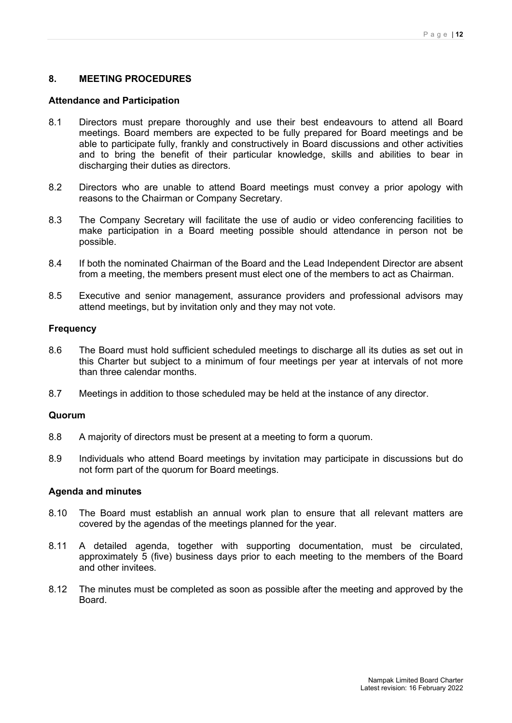## **8. MEETING PROCEDURES**

#### **Attendance and Participation**

- 8.1 Directors must prepare thoroughly and use their best endeavours to attend all Board meetings. Board members are expected to be fully prepared for Board meetings and be able to participate fully, frankly and constructively in Board discussions and other activities and to bring the benefit of their particular knowledge, skills and abilities to bear in discharging their duties as directors.
- 8.2 Directors who are unable to attend Board meetings must convey a prior apology with reasons to the Chairman or Company Secretary.
- 8.3 The Company Secretary will facilitate the use of audio or video conferencing facilities to make participation in a Board meeting possible should attendance in person not be possible.
- 8.4 If both the nominated Chairman of the Board and the Lead Independent Director are absent from a meeting, the members present must elect one of the members to act as Chairman.
- 8.5 Executive and senior management, assurance providers and professional advisors may attend meetings, but by invitation only and they may not vote.

#### **Frequency**

- 8.6 The Board must hold sufficient scheduled meetings to discharge all its duties as set out in this Charter but subject to a minimum of four meetings per year at intervals of not more than three calendar months.
- 8.7 Meetings in addition to those scheduled may be held at the instance of any director.

#### **Quorum**

- 8.8 A majority of directors must be present at a meeting to form a quorum.
- 8.9 Individuals who attend Board meetings by invitation may participate in discussions but do not form part of the quorum for Board meetings.

## **Agenda and minutes**

- 8.10 The Board must establish an annual work plan to ensure that all relevant matters are covered by the agendas of the meetings planned for the year.
- 8.11 A detailed agenda, together with supporting documentation, must be circulated, approximately 5 (five) business days prior to each meeting to the members of the Board and other invitees.
- 8.12 The minutes must be completed as soon as possible after the meeting and approved by the Board.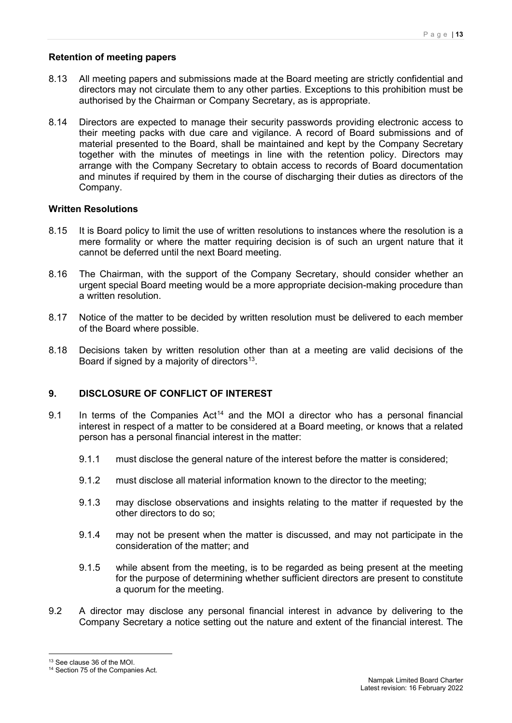## **Retention of meeting papers**

- 8.13 All meeting papers and submissions made at the Board meeting are strictly confidential and directors may not circulate them to any other parties. Exceptions to this prohibition must be authorised by the Chairman or Company Secretary, as is appropriate.
- 8.14 Directors are expected to manage their security passwords providing electronic access to their meeting packs with due care and vigilance. A record of Board submissions and of material presented to the Board, shall be maintained and kept by the Company Secretary together with the minutes of meetings in line with the retention policy. Directors may arrange with the Company Secretary to obtain access to records of Board documentation and minutes if required by them in the course of discharging their duties as directors of the Company.

## **Written Resolutions**

- 8.15 It is Board policy to limit the use of written resolutions to instances where the resolution is a mere formality or where the matter requiring decision is of such an urgent nature that it cannot be deferred until the next Board meeting.
- 8.16 The Chairman, with the support of the Company Secretary, should consider whether an urgent special Board meeting would be a more appropriate decision-making procedure than a written resolution.
- 8.17 Notice of the matter to be decided by written resolution must be delivered to each member of the Board where possible.
- 8.18 Decisions taken by written resolution other than at a meeting are valid decisions of the Board if signed by a majority of directors<sup>[13](#page-12-0)</sup>.

# **9. DISCLOSURE OF CONFLICT OF INTEREST**

- 9.1 In terms of the Companies  $Act^{14}$  and the MOI a director who has a personal financial interest in respect of a matter to be considered at a Board meeting, or knows that a related person has a personal financial interest in the matter:
	- 9.1.1 must disclose the general nature of the interest before the matter is considered;
	- 9.1.2 must disclose all material information known to the director to the meeting;
	- 9.1.3 may disclose observations and insights relating to the matter if requested by the other directors to do so;
	- 9.1.4 may not be present when the matter is discussed, and may not participate in the consideration of the matter; and
	- 9.1.5 while absent from the meeting, is to be regarded as being present at the meeting for the purpose of determining whether sufficient directors are present to constitute a quorum for the meeting.
- 9.2 A director may disclose any personal financial interest in advance by delivering to the Company Secretary a notice setting out the nature and extent of the financial interest. The

<span id="page-12-0"></span><sup>&</sup>lt;sup>13</sup> See clause 36 of the MOI.

<span id="page-12-1"></span><sup>&</sup>lt;sup>14</sup> Section 75 of the Companies Act.